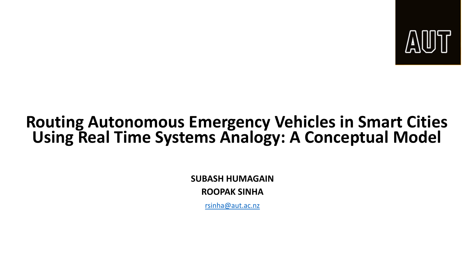

#### **Routing Autonomous Emergency Vehicles in Smart Cities Using Real Time Systems Analogy: A Conceptual Model**

**SUBASH HUMAGAIN ROOPAK SINHA**

[rsinha@aut.ac.nz](mailto:rsinha@aut.ac.nz)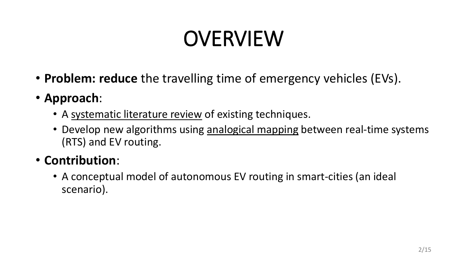# OVERVIEW

- **Problem: reduce** the travelling time of emergency vehicles (EVs).
- **Approach**:
	- A systematic literature review of existing techniques.
	- Develop new algorithms using analogical mapping between real-time systems (RTS) and EV routing.

#### • **Contribution**:

• A conceptual model of autonomous EV routing in smart-cities (an ideal scenario).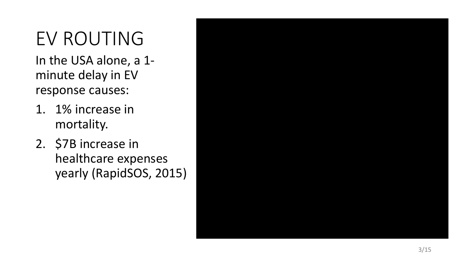### EV ROUTING

In the USA alone, a 1 minute delay in EV response causes:

- 1. 1% increase in mortality.
- 2. \$7B increase in healthcare expenses yearly (RapidSOS, 2015)

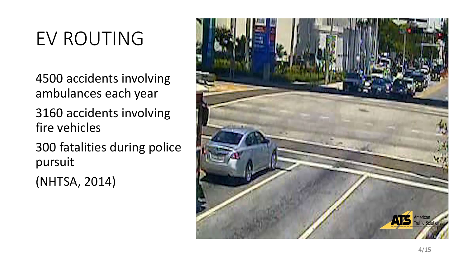### EV ROUTING

4500 accidents involving ambulances each year

3160 accidents involving fire vehicles

300 fatalities during police pursuit

(NHTSA, 2014)

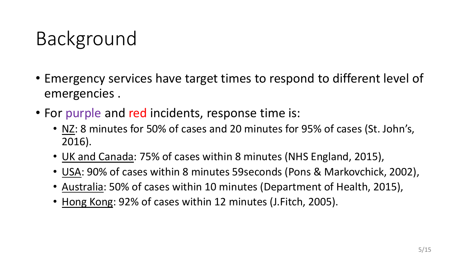## Background

- Emergency services have target times to respond to different level of emergencies .
- For purple and red incidents, response time is:
	- NZ: 8 minutes for 50% of cases and 20 minutes for 95% of cases (St. John's, 2016).
	- UK and Canada: 75% of cases within 8 minutes (NHS England, 2015),
	- USA: 90% of cases within 8 minutes 59seconds (Pons & Markovchick, 2002),
	- Australia: 50% of cases within 10 minutes (Department of Health, 2015),
	- Hong Kong: 92% of cases within 12 minutes (J.Fitch, 2005).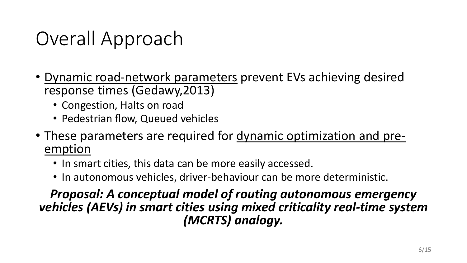### Overall Approach

- Dynamic road-network parameters prevent EVs achieving desired response times (Gedawy,2013)
	- Congestion, Halts on road
	- Pedestrian flow, Queued vehicles
- These parameters are required for dynamic optimization and pre- emption
	- In smart cities, this data can be more easily accessed.
	- In autonomous vehicles, driver-behaviour can be more deterministic.

*Proposal: A conceptual model of routing autonomous emergency vehicles (AEVs) in smart cities using mixed criticality real-time system (MCRTS) analogy.*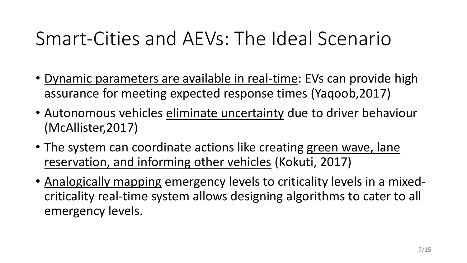### Smart-Cities and AEVs: The Ideal Scenario

- Dynamic parameters are available in real-time: EVs can provide high assurance for meeting expected response times (Yaqoob,2017)
- Autonomous vehicles eliminate uncertainty due to driver behaviour (McAllister,2017)
- The system can coordinate actions like creating green wave, lane reservation, and informing other vehicles (Kokuti, 2017)
- Analogically mapping emergency levels to criticality levels in a mixedcriticality real-time system allows designing algorithms to cater to all emergency levels.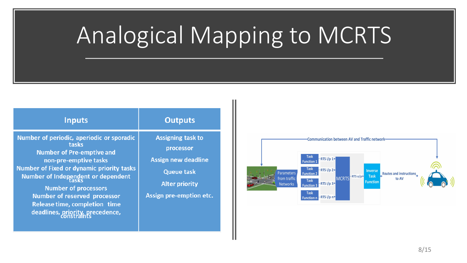# Analogical Mapping to MCRTS

| <b>Inputs</b>                                                                                                                                                                                                                                                                                                                                               | <b>Outputs</b>                                                                                                                               |
|-------------------------------------------------------------------------------------------------------------------------------------------------------------------------------------------------------------------------------------------------------------------------------------------------------------------------------------------------------------|----------------------------------------------------------------------------------------------------------------------------------------------|
| Number of periodic, aperiodic or sporadic<br>tasks<br><b>Number of Pre-emptive and</b><br>non-pre-emptive tasks<br><b>Number of Fixed or dynamic priority tasks</b><br>Number of Independent or dependent<br><b>Number of processors</b><br><b>Number of reserved processor</b><br><b>Release time, completion time</b><br>deadlines, priority, precedence, | <b>Assigning task to</b><br>processor<br><b>Assign new deadline</b><br><b>Queue task</b><br><b>Alter priority</b><br>Assign pre-emption etc. |

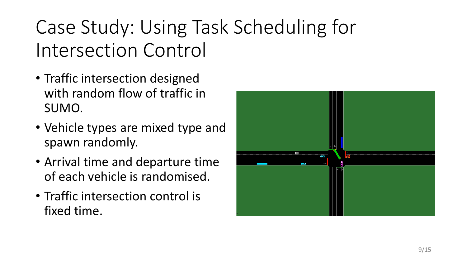# Case Study: Using Task Scheduling for Intersection Control

- Traffic intersection designed with random flow of traffic in SUMO.
- Vehicle types are mixed type and spawn randomly.
- Arrival time and departure time of each vehicle is randomised.
- Traffic intersection control is fixed time.

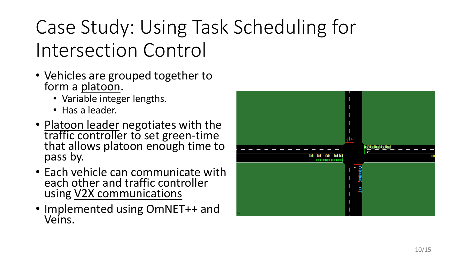# Case Study: Using Task Scheduling for Intersection Control

- Vehicles are grouped together to form a platoon.
	- Variable integer lengths.
	- Has a leader.
- Platoon leader negotiates with the<br>traffic controller to set green-time that allows platoon enough time to pass by.
- Each vehicle can communicate with each other and traffic controller using V2X communications
- Implemented using OmNET++ and Veins.

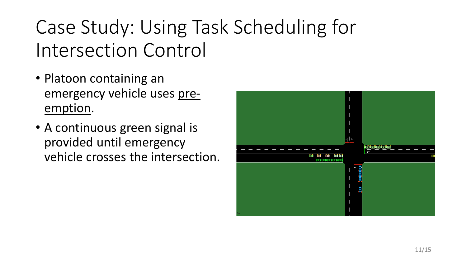# Case Study: Using Task Scheduling for Intersection Control

- Platoon containing an emergency vehicle uses preemption.
- A continuous green signal is provided until emergency vehicle crosses the intersection.

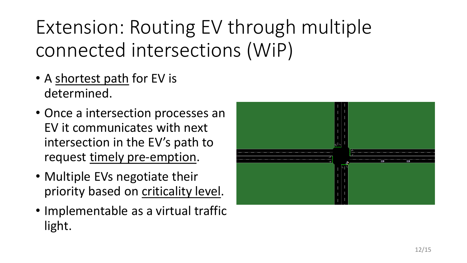# Extension: Routing EV through multiple connected intersections (WiP)

- A shortest path for EV is determined.
- Once a intersection processes an EV it communicates with next intersection in the EV's path to request timely pre-emption.
- Multiple EVs negotiate their priority based on criticality level.
- Implementable as a virtual traffic light.

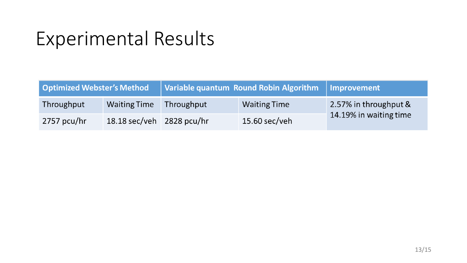### Experimental Results

| Variable quantum Round Robin Algorithm   Improvement<br><b>Optimized Webster's Method</b> |                           |            |                     |                                                 |
|-------------------------------------------------------------------------------------------|---------------------------|------------|---------------------|-------------------------------------------------|
| Throughput                                                                                | <b>Waiting Time</b>       | Throughput | <b>Waiting Time</b> | 2.57% in throughput &<br>14.19% in waiting time |
| 2757 pcu/hr                                                                               | 18.18 sec/veh 2828 pcu/hr |            | 15.60 sec/veh       |                                                 |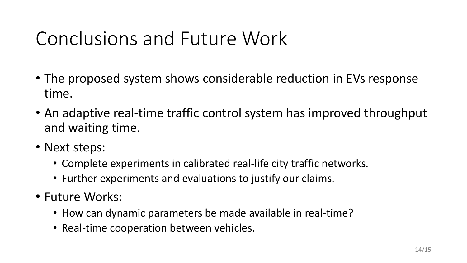### Conclusions and Future Work

- The proposed system shows considerable reduction in EVs response time.
- An adaptive real-time traffic control system has improved throughput and waiting time.
- Next steps:
	- Complete experiments in calibrated real-life city traffic networks.
	- Further experiments and evaluations to justify our claims.
- Future Works:
	- How can dynamic parameters be made available in real-time?
	- Real-time cooperation between vehicles.